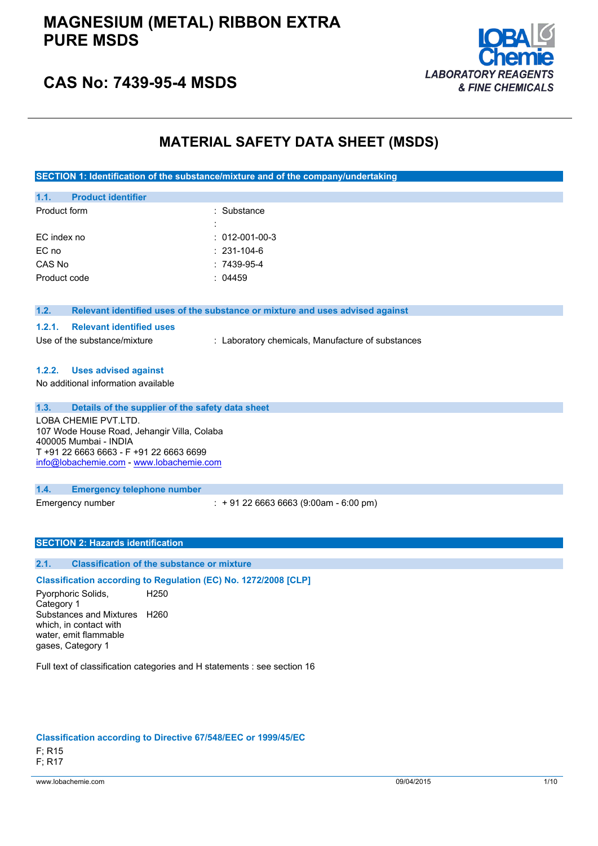### **MAGNESIUM (METAL) RIBBON EXTRA PURE MSDS**



### **CAS No: 7439-95-4 MSDS**

### **MATERIAL SAFETY DATA SHEET (MSDS)**

**SECTION 1: Identification of the substance/mixture and of the company/undertaking**

| 1.1.         | <b>Product identifier</b> |                        |
|--------------|---------------------------|------------------------|
| Product form |                           | : Substance            |
|              |                           |                        |
| EC index no  |                           | $: 012 - 001 - 00 - 3$ |
| EC no        |                           | $: 231 - 104 - 6$      |
| CAS No       |                           | $:7439-95-4$           |
|              | Product code              | : 04459                |
|              |                           |                        |

#### **1.2. Relevant identified uses of the substance or mixture and uses advised against**

#### **1.2.1. Relevant identified uses**

Use of the substance/mixture : Laboratory chemicals, Manufacture of substances

#### **1.2.2. Uses advised against**

No additional information available

#### **1.3. Details of the supplier of the safety data sheet**

LOBA CHEMIE PVT.LTD. 107 Wode House Road, Jehangir Villa, Colaba 400005 Mumbai - INDIA T +91 22 6663 6663 - F +91 22 6663 6699 [info@lobachemie.com](mailto:info@lobachemie.com) - <www.lobachemie.com>

#### **1.4. Emergency telephone number**

Emergency number : + 91 22 6663 6663 (9:00am - 6:00 pm)

#### **SECTION 2: Hazards identification**

#### **2.1. Classification of the substance or mixture**

**Classification according to Regulation (EC) No. 1272/2008 [CLP]**

Pyorphoric Solids, Category 1 H250 Substances and Mixtures H260 which, in contact with water, emit flammable gases, Category 1

Full text of classification categories and H statements : see section 16

#### **Classification according to Directive 67/548/EEC or 1999/45/EC**

F; R15 F; R17

www.lobachemie.com 09/04/2015 1/10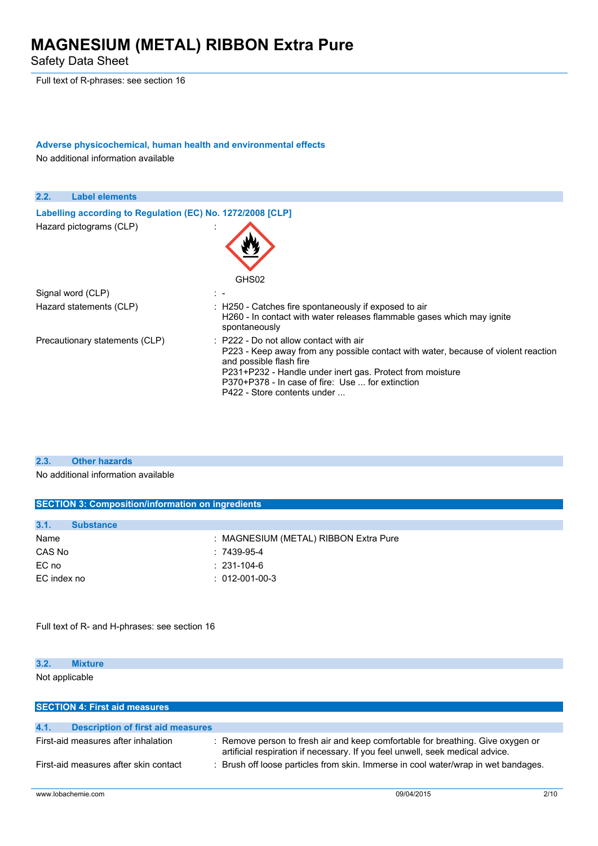Safety Data Sheet

Full text of R-phrases: see section 16

### **Adverse physicochemical, human health and environmental effects**

No additional information available



#### **2.3. Other hazards**

No additional information available

| <b>SECTION 3: Composition/information on ingredients</b> |                                       |  |  |
|----------------------------------------------------------|---------------------------------------|--|--|
|                                                          |                                       |  |  |
| 3.1.<br><b>Substance</b>                                 |                                       |  |  |
| Name                                                     | : MAGNESIUM (METAL) RIBBON Extra Pure |  |  |
| CAS No                                                   | $:7439-95-4$                          |  |  |
| EC no                                                    | $: 231 - 104 - 6$                     |  |  |
| EC index no                                              | $: 012 - 001 - 00 - 3$                |  |  |
|                                                          |                                       |  |  |
|                                                          |                                       |  |  |
|                                                          |                                       |  |  |
| Full text of R- and H-phrases: see section 16            |                                       |  |  |

**3.2. Mixture** Not applicable

| <b>SECTION 4: First aid measures</b>             |                                                                                                                                                                  |  |  |
|--------------------------------------------------|------------------------------------------------------------------------------------------------------------------------------------------------------------------|--|--|
|                                                  |                                                                                                                                                                  |  |  |
| 4.1.<br><b>Description of first aid measures</b> |                                                                                                                                                                  |  |  |
| First-aid measures after inhalation              | : Remove person to fresh air and keep comfortable for breathing. Give oxygen or<br>artificial respiration if necessary. If you feel unwell, seek medical advice. |  |  |
| First-aid measures after skin contact            | Brush off loose particles from skin. Immerse in cool water/wrap in wet bandages.                                                                                 |  |  |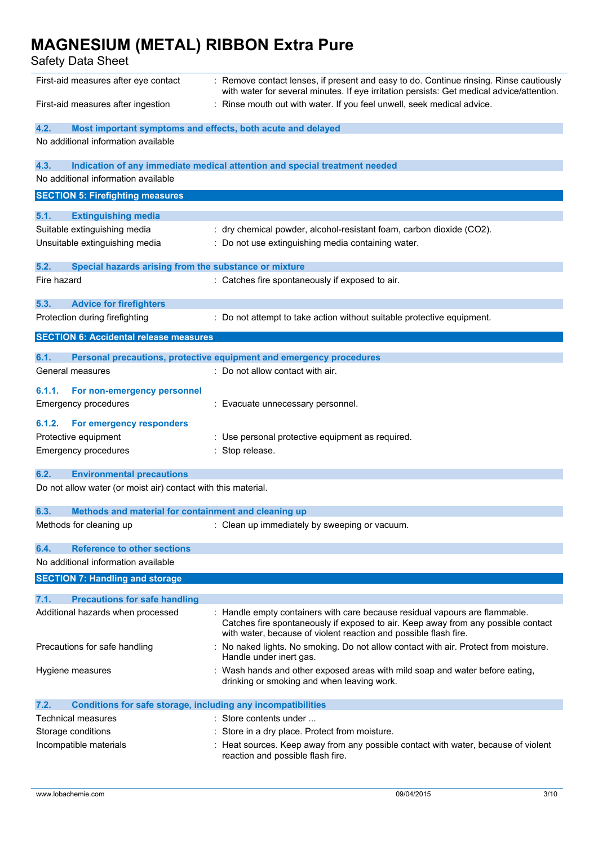| First-aid measures after eye contact                                        | : Remove contact lenses, if present and easy to do. Continue rinsing. Rinse cautiously<br>with water for several minutes. If eye irritation persists: Get medical advice/attention.                                                  |  |  |
|-----------------------------------------------------------------------------|--------------------------------------------------------------------------------------------------------------------------------------------------------------------------------------------------------------------------------------|--|--|
| First-aid measures after ingestion                                          | : Rinse mouth out with water. If you feel unwell, seek medical advice.                                                                                                                                                               |  |  |
| Most important symptoms and effects, both acute and delayed<br>4.2.         |                                                                                                                                                                                                                                      |  |  |
| No additional information available                                         |                                                                                                                                                                                                                                      |  |  |
| 4.3.                                                                        | Indication of any immediate medical attention and special treatment needed                                                                                                                                                           |  |  |
| No additional information available                                         |                                                                                                                                                                                                                                      |  |  |
| <b>SECTION 5: Firefighting measures</b>                                     |                                                                                                                                                                                                                                      |  |  |
| 5.1.<br><b>Extinguishing media</b>                                          |                                                                                                                                                                                                                                      |  |  |
| Suitable extinguishing media                                                | : dry chemical powder, alcohol-resistant foam, carbon dioxide (CO2).                                                                                                                                                                 |  |  |
| Unsuitable extinguishing media                                              | : Do not use extinguishing media containing water.                                                                                                                                                                                   |  |  |
| 5.2.<br>Special hazards arising from the substance or mixture               |                                                                                                                                                                                                                                      |  |  |
| Fire hazard                                                                 | : Catches fire spontaneously if exposed to air.                                                                                                                                                                                      |  |  |
| 5.3.<br><b>Advice for firefighters</b>                                      |                                                                                                                                                                                                                                      |  |  |
| Protection during firefighting                                              | : Do not attempt to take action without suitable protective equipment.                                                                                                                                                               |  |  |
| <b>SECTION 6: Accidental release measures</b>                               |                                                                                                                                                                                                                                      |  |  |
| 6.1.                                                                        | Personal precautions, protective equipment and emergency procedures                                                                                                                                                                  |  |  |
| General measures                                                            | : Do not allow contact with air.                                                                                                                                                                                                     |  |  |
| 6.1.1.<br>For non-emergency personnel                                       |                                                                                                                                                                                                                                      |  |  |
| <b>Emergency procedures</b>                                                 | : Evacuate unnecessary personnel.                                                                                                                                                                                                    |  |  |
| 6.1.2.<br><b>For emergency responders</b>                                   |                                                                                                                                                                                                                                      |  |  |
| Protective equipment                                                        | : Use personal protective equipment as required.                                                                                                                                                                                     |  |  |
| Emergency procedures                                                        | : Stop release.                                                                                                                                                                                                                      |  |  |
| 6.2.<br><b>Environmental precautions</b>                                    |                                                                                                                                                                                                                                      |  |  |
| Do not allow water (or moist air) contact with this material.               |                                                                                                                                                                                                                                      |  |  |
| 6.3.<br>Methods and material for containment and cleaning up                |                                                                                                                                                                                                                                      |  |  |
| Methods for cleaning up                                                     | : Clean up immediately by sweeping or vacuum.                                                                                                                                                                                        |  |  |
| <b>Reference to other sections</b><br>6.4.                                  |                                                                                                                                                                                                                                      |  |  |
| No additional information available                                         |                                                                                                                                                                                                                                      |  |  |
| <b>SECTION 7: Handling and storage</b>                                      |                                                                                                                                                                                                                                      |  |  |
| 7.1.<br><b>Precautions for safe handling</b>                                |                                                                                                                                                                                                                                      |  |  |
| Additional hazards when processed                                           | : Handle empty containers with care because residual vapours are flammable.<br>Catches fire spontaneously if exposed to air. Keep away from any possible contact<br>with water, because of violent reaction and possible flash fire. |  |  |
| Precautions for safe handling                                               | No naked lights. No smoking. Do not allow contact with air. Protect from moisture.<br>Handle under inert gas.                                                                                                                        |  |  |
| Hygiene measures                                                            | : Wash hands and other exposed areas with mild soap and water before eating,<br>drinking or smoking and when leaving work.                                                                                                           |  |  |
| 7.2.<br><b>Conditions for safe storage, including any incompatibilities</b> |                                                                                                                                                                                                                                      |  |  |
| <b>Technical measures</b>                                                   | : Store contents under                                                                                                                                                                                                               |  |  |
| Storage conditions                                                          | Store in a dry place. Protect from moisture.                                                                                                                                                                                         |  |  |
| Incompatible materials                                                      | : Heat sources. Keep away from any possible contact with water, because of violent<br>reaction and possible flash fire.                                                                                                              |  |  |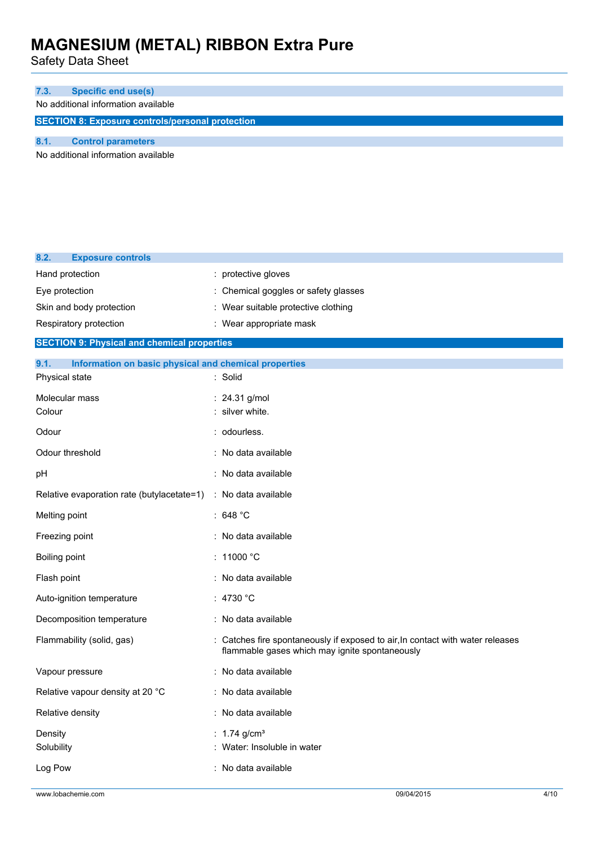| 7.3.                                                    | <b>Specific end use(s)</b> |  |
|---------------------------------------------------------|----------------------------|--|
| No additional information available                     |                            |  |
| <b>SECTION 8: Exposure controls/personal protection</b> |                            |  |
|                                                         |                            |  |
|                                                         | <b>Control parameters</b>  |  |

| 8.2.<br><b>Exposure controls</b>                              |                                                                                                                                |  |  |
|---------------------------------------------------------------|--------------------------------------------------------------------------------------------------------------------------------|--|--|
| Hand protection                                               | : protective gloves                                                                                                            |  |  |
| Eye protection                                                | Chemical goggles or safety glasses                                                                                             |  |  |
| Skin and body protection                                      | : Wear suitable protective clothing                                                                                            |  |  |
| Respiratory protection                                        | : Wear appropriate mask                                                                                                        |  |  |
| <b>SECTION 9: Physical and chemical properties</b>            |                                                                                                                                |  |  |
| 9.1.<br>Information on basic physical and chemical properties |                                                                                                                                |  |  |
| Physical state                                                | : Solid                                                                                                                        |  |  |
| Molecular mass                                                | : 24.31 g/mol                                                                                                                  |  |  |
| Colour                                                        | silver white.                                                                                                                  |  |  |
| Odour                                                         | odourless.                                                                                                                     |  |  |
| Odour threshold                                               | No data available                                                                                                              |  |  |
| pH                                                            | No data available                                                                                                              |  |  |
| Relative evaporation rate (butylacetate=1)                    | : No data available                                                                                                            |  |  |
| Melting point                                                 | : 648 $^{\circ}$ C                                                                                                             |  |  |
| Freezing point                                                | : No data available                                                                                                            |  |  |
| <b>Boiling point</b>                                          | $:~11000~^{\circ}\mathrm{C}$                                                                                                   |  |  |
| Flash point                                                   | : No data available                                                                                                            |  |  |
| Auto-ignition temperature                                     | :4730 °C                                                                                                                       |  |  |
| Decomposition temperature                                     | : No data available                                                                                                            |  |  |
| Flammability (solid, gas)                                     | Catches fire spontaneously if exposed to air, In contact with water releases<br>flammable gases which may ignite spontaneously |  |  |
| Vapour pressure                                               | : No data available                                                                                                            |  |  |
| Relative vapour density at 20 °C                              | : No data available                                                                                                            |  |  |
| Relative density                                              | No data available                                                                                                              |  |  |
| Density<br>Solubility                                         | : 1.74 g/cm <sup>3</sup><br>Water: Insoluble in water                                                                          |  |  |
| Log Pow                                                       | : No data available                                                                                                            |  |  |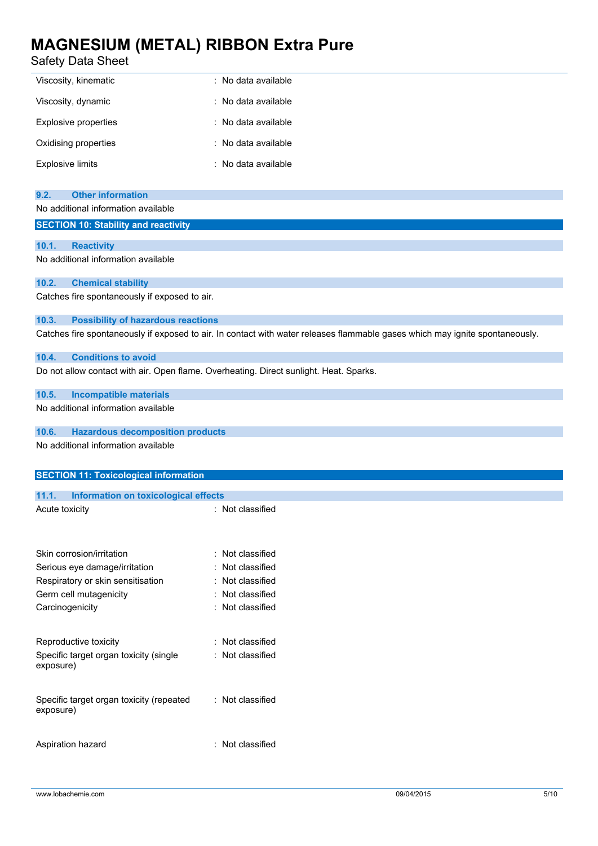### Safety Data Sheet

| Viscosity, kinematic    | : No data available |
|-------------------------|---------------------|
| Viscosity, dynamic      | : No data available |
| Explosive properties    | : No data available |
| Oxidising properties    | : No data available |
| <b>Explosive limits</b> | : No data available |

### **9.2. Other information**

#### No additional information available

#### **SECTION 10: Stability and reactivity**

#### **10.1. Reactivity**

No additional information available

#### **10.2. Chemical stability**

Catches fire spontaneously if exposed to air.

#### **10.3. Possibility of hazardous reactions**

Catches fire spontaneously if exposed to air. In contact with water releases flammable gases which may ignite spontaneously.

#### **10.4. Conditions to avoid**

Do not allow contact with air. Open flame. Overheating. Direct sunlight. Heat. Sparks.

#### **10.5. Incompatible materials**

No additional information available

#### **10.6. Hazardous decomposition products**

No additional information available

### **SECTION 11: Toxicological information 11.1. Information on toxicological effects** Acute toxicity **in the case of the Case of the Case of the Case of the Case of the Case of the Case of the Case of the Case of the Case of the Case of the Case of the Case of the Case of the Case of the Case of the Case of** Skin corrosion/irritation : Not classified Serious eye damage/irritation : Not classified Respiratory or skin sensitisation : Not classified Germ cell mutagenicity **in the case of the CES** certain cell mutagenicity **cases** : Not classified Carcinogenicity **Carcinogenicity** : Not classified

### Reproductive toxicity **in the COV** Reproductive toxicity **in the COV** Reproductive Specific target organ toxicity (single exposure) : Not classified Specific target organ toxicity (repeated exposure) : Not classified

Aspiration hazard **in the set of the set of the set of the set of the set of the set of the set of the set of the set of the set of the set of the set of the set of the set of the set of the set of the set of the set of th**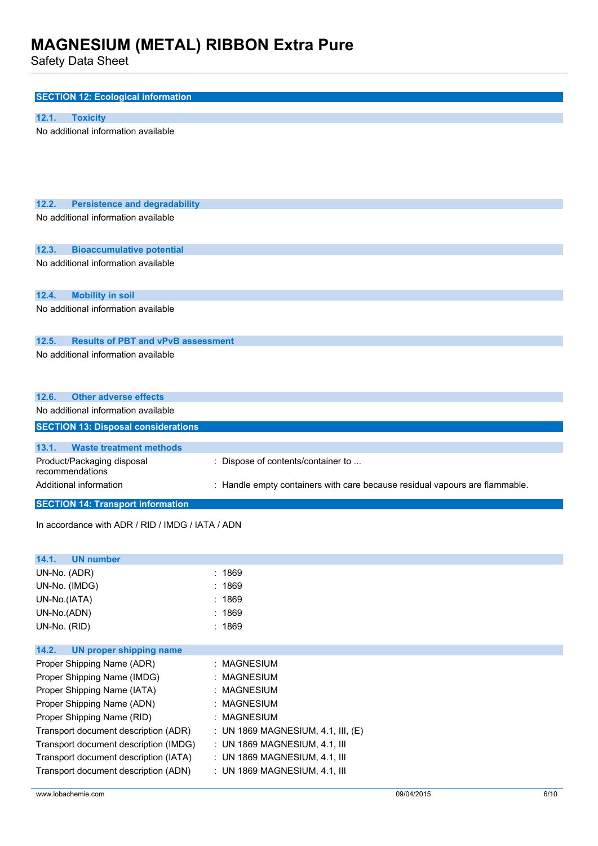| <b>SECTION 12: Ecological information</b>          |                                                                             |  |  |
|----------------------------------------------------|-----------------------------------------------------------------------------|--|--|
|                                                    |                                                                             |  |  |
| 12.1.<br><b>Toxicity</b>                           |                                                                             |  |  |
| No additional information available                |                                                                             |  |  |
| 12.2.<br><b>Persistence and degradability</b>      |                                                                             |  |  |
| No additional information available                |                                                                             |  |  |
| 12.3.<br><b>Bioaccumulative potential</b>          |                                                                             |  |  |
| No additional information available                |                                                                             |  |  |
| 12.4.<br><b>Mobility in soil</b>                   |                                                                             |  |  |
| No additional information available                |                                                                             |  |  |
| 12.5.<br><b>Results of PBT and vPvB assessment</b> |                                                                             |  |  |
| No additional information available                |                                                                             |  |  |
| <b>Other adverse effects</b><br>12.6.              |                                                                             |  |  |
| No additional information available                |                                                                             |  |  |
| <b>SECTION 13: Disposal considerations</b>         |                                                                             |  |  |
| <b>Waste treatment methods</b><br>13.1.            |                                                                             |  |  |
| Product/Packaging disposal<br>recommendations      | : Dispose of contents/container to                                          |  |  |
| Additional information                             | : Handle empty containers with care because residual vapours are flammable. |  |  |
| <b>SECTION 14: Transport information</b>           |                                                                             |  |  |
| In accordance with ADR / RID / IMDG / IATA / ADN   |                                                                             |  |  |
| 14.1.<br><b>UN number</b>                          |                                                                             |  |  |

| UN-No. (ADR)                          | : 1869                               |  |  |
|---------------------------------------|--------------------------------------|--|--|
| UN-No. (IMDG)                         | :1869                                |  |  |
| UN-No.(IATA)                          | :1869                                |  |  |
| UN-No.(ADN)                           | : 1869                               |  |  |
| UN-No. (RID)                          | :1869                                |  |  |
|                                       |                                      |  |  |
| UN proper shipping name<br>14.2.      |                                      |  |  |
| Proper Shipping Name (ADR)            | : MAGNESIUM                          |  |  |
| Proper Shipping Name (IMDG)           | : MAGNESIUM                          |  |  |
| Proper Shipping Name (IATA)           | : MAGNESIUM                          |  |  |
| Proper Shipping Name (ADN)            | : MAGNESIUM                          |  |  |
| Proper Shipping Name (RID)            | : MAGNESIUM                          |  |  |
| Transport document description (ADR)  | : UN 1869 MAGNESIUM, 4.1, III, $(E)$ |  |  |
| Transport document description (IMDG) | $\pm$ UN 1869 MAGNESIUM, 4.1, III    |  |  |
| Transport document description (IATA) | $:$ UN 1869 MAGNESIUM, 4.1, III      |  |  |
| Transport document description (ADN)  | $\pm$ UN 1869 MAGNESIUM, 4.1, III    |  |  |
|                                       |                                      |  |  |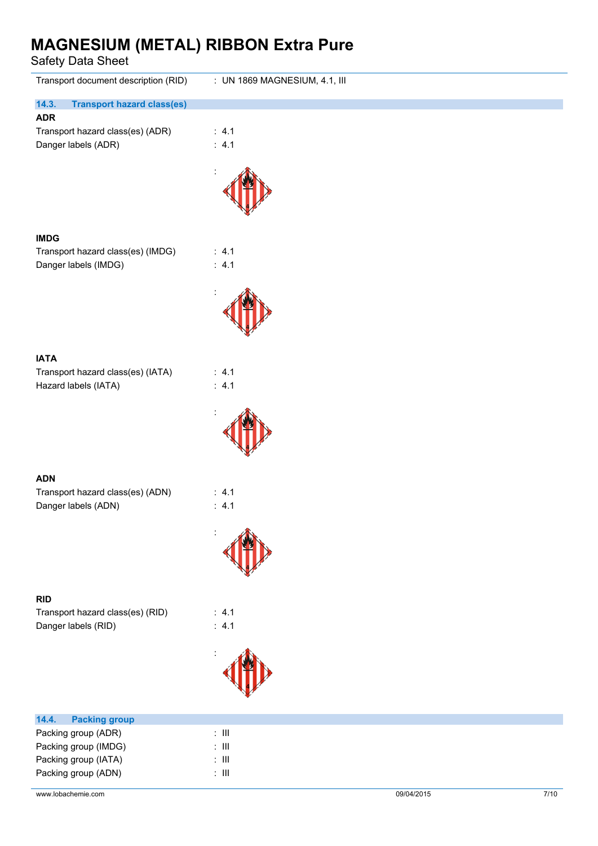| Transport document description (RID)                    | : UN 1869 MAGNESIUM, 4.1, III |
|---------------------------------------------------------|-------------------------------|
| 14.3.<br><b>Transport hazard class(es)</b>              |                               |
| <b>ADR</b><br>Transport hazard class(es) (ADR)          | : 4.1                         |
| Danger labels (ADR)                                     | : 4.1                         |
|                                                         |                               |
|                                                         |                               |
|                                                         |                               |
| <b>IMDG</b>                                             |                               |
| Transport hazard class(es) (IMDG)                       | : 4.1                         |
| Danger labels (IMDG)                                    | : 4.1                         |
|                                                         |                               |
|                                                         |                               |
|                                                         |                               |
| <b>IATA</b>                                             |                               |
| Transport hazard class(es) (IATA)                       | : 4.1<br>: 4.1                |
| Hazard labels (IATA)                                    |                               |
|                                                         |                               |
|                                                         |                               |
|                                                         |                               |
| <b>ADN</b>                                              |                               |
| Transport hazard class(es) (ADN)<br>Danger labels (ADN) | : 4.1<br>: 4.1                |
|                                                         |                               |
|                                                         |                               |
|                                                         |                               |
|                                                         |                               |
| <b>RID</b><br>Transport hazard class(es) (RID)          | : 4.1                         |
| Danger labels (RID)                                     | : $4.1$                       |
|                                                         |                               |
|                                                         |                               |
|                                                         |                               |
| 14.4.<br><b>Packing group</b>                           |                               |
| Packing group (ADR)                                     | $\colon$ III                  |
| Packing group (IMDG)<br>Packing group (IATA)            | $\colon$ III<br>$\div$ III    |
| Packing group (ADN)                                     | $\colon$ III                  |
| www.lobachemie.com                                      | 09/04/2015<br>$7/10$          |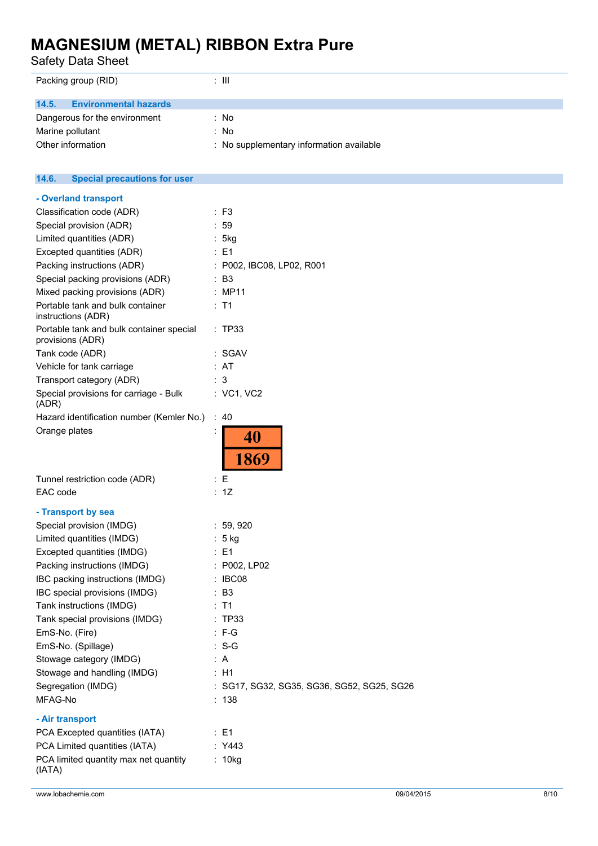Safety Data Sheet

| Packing group (RID)                   | : III                                    |
|---------------------------------------|------------------------------------------|
| <b>Environmental hazards</b><br>14.5. |                                          |
| Dangerous for the environment         | : No                                     |
| Marine pollutant                      | : No                                     |
| Other information                     | : No supplementary information available |

#### $14.6.$ **14.6. Special precautions for user**

| - Overland transport                                         |                                          |
|--------------------------------------------------------------|------------------------------------------|
| Classification code (ADR)                                    | : F3                                     |
| Special provision (ADR)                                      | : 59                                     |
| Limited quantities (ADR)                                     | : 5kg                                    |
| Excepted quantities (ADR)                                    | : E1                                     |
| Packing instructions (ADR)                                   | : P002, IBC08, LP02, R001                |
| Special packing provisions (ADR)                             | : B3                                     |
| Mixed packing provisions (ADR)                               | : MP11                                   |
| Portable tank and bulk container<br>instructions (ADR)       | : T1                                     |
| Portable tank and bulk container special<br>provisions (ADR) | : TP33                                   |
| Tank code (ADR)                                              | : SGAV                                   |
| Vehicle for tank carriage                                    | : AT                                     |
| Transport category (ADR)                                     | :3                                       |
| Special provisions for carriage - Bulk<br>(ADR)              | : VC1, VC2                               |
| Hazard identification number (Kemler No.)                    | :40                                      |
| Orange plates                                                | 40<br>1869                               |
| Tunnel restriction code (ADR)                                | : E                                      |
| EAC code                                                     | : 1Z                                     |
| - Transport by sea                                           |                                          |
| Special provision (IMDG)                                     | : 59,920                                 |
| Limited quantities (IMDG)                                    | : 5 kg                                   |
| Excepted quantities (IMDG)                                   | : E1                                     |
| Packing instructions (IMDG)                                  | : P002, LP02                             |
| IBC packing instructions (IMDG)                              | : IBC08                                  |
| IBC special provisions (IMDG)                                | : B3                                     |
| Tank instructions (IMDG)                                     | : T1                                     |
| Tank special provisions (IMDG)                               | : TP33                                   |
| EmS-No. (Fire)                                               | $: F-G$                                  |
| EmS-No. (Spillage)                                           | $S-G$                                    |
| Stowage category (IMDG)                                      | A                                        |
| Stowage and handling (IMDG)                                  | : H1                                     |
| Segregation (IMDG)                                           | SG17, SG32, SG35, SG36, SG52, SG25, SG26 |
| MFAG-No                                                      | : 138                                    |
| - Air transport                                              |                                          |
| PCA Excepted quantities (IATA)                               | : E1                                     |
| PCA Limited quantities (IATA)                                | : Y443                                   |
| PCA limited quantity max net quantity<br>(IATA)              | : 10kg                                   |
|                                                              |                                          |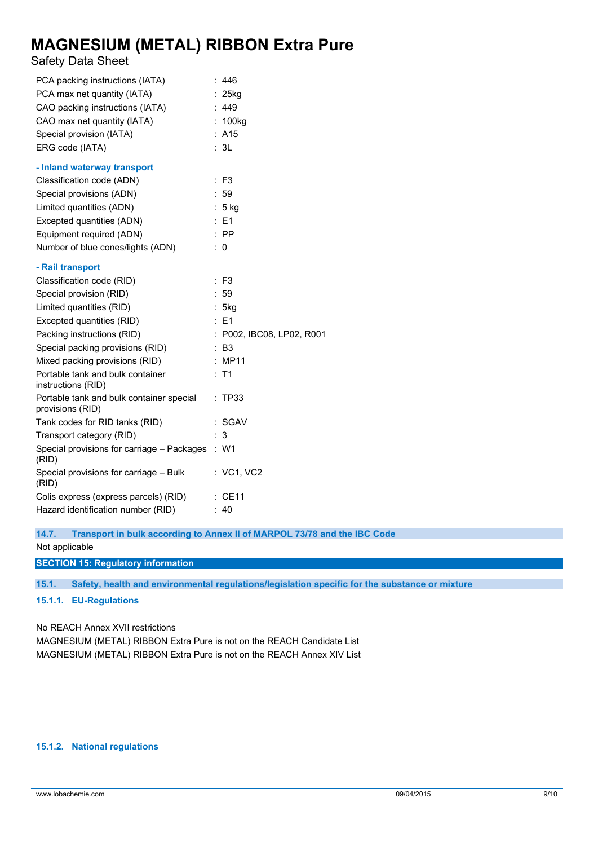### Safety Data Sheet

| PCA packing instructions (IATA)                              | : 446                     |
|--------------------------------------------------------------|---------------------------|
| PCA max net quantity (IATA)                                  | $: 25$ kg                 |
| CAO packing instructions (IATA)                              | : 449                     |
| CAO max net quantity (IATA)                                  | : 100kg                   |
| Special provision (IATA)                                     | : A15                     |
| ERG code (IATA)                                              | : 3L                      |
| - Inland waterway transport                                  |                           |
| Classification code (ADN)                                    | $:$ F <sub>3</sub>        |
| Special provisions (ADN)                                     | 59                        |
| Limited quantities (ADN)                                     | $: 5$ kg                  |
| Excepted quantities (ADN)                                    | $E = 1$                   |
| Equipment required (ADN)                                     | $:$ PP                    |
| Number of blue cones/lights (ADN)                            | $\therefore$ 0            |
|                                                              |                           |
| - Rail transport                                             |                           |
| Classification code (RID)                                    | $:$ F <sub>3</sub>        |
| Special provision (RID)                                      | :59                       |
| Limited quantities (RID)                                     | : $5kg$                   |
| Excepted quantities (RID)                                    | : E1                      |
| Packing instructions (RID)                                   | : P002, IBC08, LP02, R001 |
| Special packing provisions (RID)                             | : B3                      |
| Mixed packing provisions (RID)                               | : MP11                    |
| Portable tank and bulk container<br>instructions (RID)       | $:$ T1                    |
| Portable tank and bulk container special<br>provisions (RID) | : TP33                    |
| Tank codes for RID tanks (RID)                               | : SGAV                    |
| Transport category (RID)                                     | 3                         |
| Special provisions for carriage - Packages<br>(RID)          | : W1                      |
| Special provisions for carriage - Bulk<br>(RID)              | : VC1, VC2                |
| Colis express (express parcels) (RID)                        | $:$ CE11                  |
| Hazard identification number (RID)                           | : 40                      |

**14.7. Transport in bulk according to Annex II of MARPOL 73/78 and the IBC Code**

Not applicable

**SECTION 15: Regulatory information**

**15.1. Safety, health and environmental regulations/legislation specific for the substance or mixture**

#### **15.1.1. EU-Regulations**

No REACH Annex XVII restrictions

MAGNESIUM (METAL) RIBBON Extra Pure is not on the REACH Candidate List MAGNESIUM (METAL) RIBBON Extra Pure is not on the REACH Annex XIV List

#### **15.1.2. National regulations**